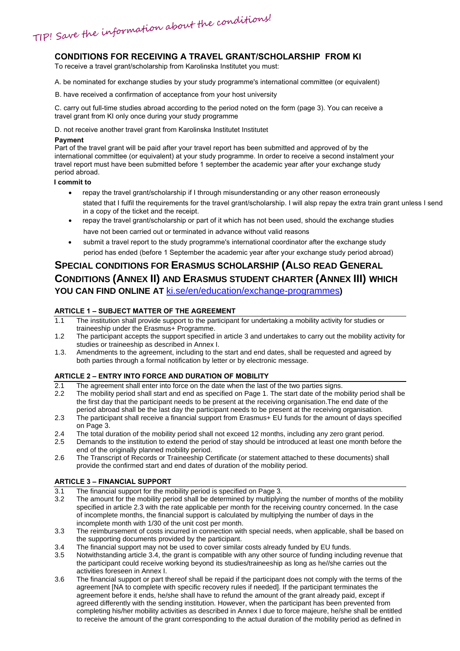TIP! Save the information about the conditions!

### **CONDITIONS FOR RECEIVING A TRAVEL GRANT/SCHOLARSHIP FROM KI**

To receive a travel grant/scholarship from Karolinska Institutet you must:

A. be nominated for exchange studies by your study programme's international committee (or equivalent)

B. have received a confirmation of acceptance from your host university

C. carry out full-time studies abroad according to the period noted on the form (page 3). You can receive a travel grant from KI only once during your study programme

D. not receive another travel grant from Karolinska Institutet Institutet

#### **Payment**

Part of the travel grant will be paid after your travel report has been submitted and approved of by the international committee (or equivalent) at your study programme. In order to receive a second instalment your travel report must have been submitted before 1 september the academic year after your exchange study period abroad.

#### **I commit to**

- repay the travel grant/scholarship if I through misunderstanding or any other reason erroneously stated that I fulfil the requirements for the travel grant/scholarship. I will alsp repay the extra train grant unless I send in a copy of the ticket and the receipt.
- repay the travel grant/scholarship or part of it which has not been used, should the exchange studies have not been carried out or terminated in advance without valid reasons
- submit a travel report to the study programme's international coordinator after the exchange study period has ended (before 1 September the academic year after your exchange study period abroad)

## **SPECIAL CONDITIONS FOR ERASMUS SCHOLARSHIP (ALSO READ GENERAL CONDITIONS (ANNEX II) AND ERASMUS STUDENT CHARTER (ANNEX III) WHICH YOU CAN FIND ONLINE AT** [ki.se/en/education/exchange-programmes](http://ki.se/en/education/exchange-programmes)**)**

#### **ARTICLE 1 – SUBJECT MATTER OF THE AGREEMENT**

- 1.1 The institution shall provide support to the participant for undertaking a mobility activity for studies or traineeship under the Erasmus+ Programme.
- 1.2 The participant accepts the support specified in article 3 and undertakes to carry out the mobility activity for studies or traineeship as described in Annex I.
- 1.3. Amendments to the agreement, including to the start and end dates, shall be requested and agreed by both parties through a formal notification by letter or by electronic message.

#### **ARTICLE 2 – ENTRY INTO FORCE AND DURATION OF MOBILITY**

- $\overline{2.1}$  The agreement shall enter into force on the date when the last of the two parties signs.<br>2.2 The mobility period shall start and end as specified on Page 1. The start date of the mo
- The mobility period shall start and end as specified on Page 1. The start date of the mobility period shall be the first day that the participant needs to be present at the receiving organisation.The end date of the period abroad shall be the last day the participant needs to be present at the receiving organisation.
- 2.3 The participant shall receive a financial support from Erasmus+ EU funds for the amount of days specified on Page 3.
- 2.4 The total duration of the mobility period shall not exceed 12 months, including any zero grant period.
- 2.5 Demands to the institution to extend the period of stay should be introduced at least one month before the end of the originally planned mobility period.
- 2.6 The Transcript of Records or Traineeship Certificate (or statement attached to these documents) shall provide the confirmed start and end dates of duration of the mobility period.

#### **ARTICLE 3 – FINANCIAL SUPPORT**

- 3.1 The financial support for the mobility period is specified on Page 3.<br>3.2 The amount for the mobility period shall be determined by multiplying
- The amount for the mobility period shall be determined by multiplying the number of months of the mobility specified in article 2.3 with the rate applicable per month for the receiving country concerned. In the case of incomplete months, the financial support is calculated by multiplying the number of days in the incomplete month with 1/30 of the unit cost per month.
- 3.3 The reimbursement of costs incurred in connection with special needs, when applicable, shall be based on the supporting documents provided by the participant.
- 3.4 The financial support may not be used to cover similar costs already funded by EU funds.<br>3.5 Notwithstanding article 3.4, the grant is compatible with any other source of funding includ
- Notwithstanding article 3.4, the grant is compatible with any other source of funding including revenue that the participant could receive working beyond its studies/traineeship as long as he//she carries out the activities foreseen in Annex I.
- 3.6 The financial support or part thereof shall be repaid if the participant does not comply with the terms of the agreement [NA to complete with specific recovery rules if needed]. If the participant terminates the agreement before it ends, he/she shall have to refund the amount of the grant already paid, except if agreed differently with the sending institution. However, when the participant has been prevented from completing his/her mobility activities as described in Annex I due to force majeure, he/she shall be entitled to receive the amount of the grant corresponding to the actual duration of the mobility period as defined in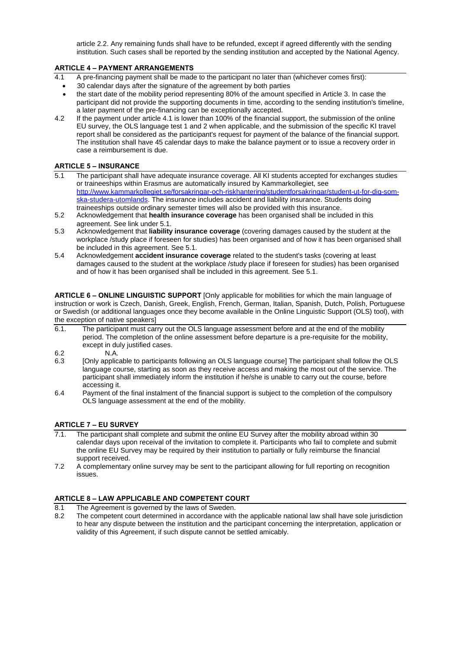article 2.2. Any remaining funds shall have to be refunded, except if agreed differently with the sending institution. Such cases shall be reported by the sending institution and accepted by the National Agency.

#### **ARTICLE 4 – PAYMENT ARRANGEMENTS**

- 4.1 A pre-financing payment shall be made to the participant no later than (whichever comes first):
	- 30 calendar days after the signature of the agreement by both parties
	- the start date of the mobility period representing 80% of the amount specified in Article 3. In case the participant did not provide the supporting documents in time, according to the sending institution's timeline, a later payment of the pre-financing can be exceptionally accepted.
- 4.2 If the payment under article 4.1 is lower than 100% of the financial support, the submission of the online EU survey, the OLS language test 1 and 2 when applicable, and the submission of the specific KI travel report shall be considered as the participant's request for payment of the balance of the financial support. The institution shall have 45 calendar days to make the balance payment or to issue a recovery order in case a reimbursement is due.

#### **ARTICLE 5 – INSURANCE**

- 5.1 The participant shall have adequate insurance coverage. All KI students accepted for exchanges studies or traineeships within Erasmus are automatically insured by Kammarkollegiet, see [http://www.kammarkollegiet.se/forsakringar-och-riskhantering/studentforsakringar/student-ut-for-dig-som](http://www.kammarkollegiet.se/forsakringar-och-riskhantering/studentforsakringar/student-ut-for-dig-som-ska-studera-utomlands)[ska-studera-utomlands.](http://www.kammarkollegiet.se/forsakringar-och-riskhantering/studentforsakringar/student-ut-for-dig-som-ska-studera-utomlands) The insurance includes accident and liability insurance. Students doing traineeships outside ordinary semester times will also be provided with this insurance.
- 5.2 Acknowledgement that **health insurance coverage** has been organised shall be included in this agreement. See link under 5.1.
- 5.3 Acknowledgement that **liability insurance coverage** (covering damages caused by the student at the workplace /study place if foreseen for studies) has been organised and of how it has been organised shall be included in this agreement. See 5.1.
- 5.4 Acknowledgement **accident insurance coverage** related to the student's tasks (covering at least damages caused to the student at the workplace /study place if foreseen for studies) has been organised and of how it has been organised shall be included in this agreement. See 5.1.

**ARTICLE 6 – ONLINE LINGUISTIC SUPPORT** [Only applicable for mobilities for which the main language of instruction or work is Czech, Danish, Greek, English, French, German, Italian, Spanish, Dutch, Polish, Portuguese or Swedish (or additional languages once they become available in the Online Linguistic Support (OLS) tool), with the exception of native speakers]

- 6.1. The participant must carry out the OLS language assessment before and at the end of the mobility period. The completion of the online assessment before departure is a pre-requisite for the mobility, except in duly justified cases.
- 
- 6.2 N.A.<br>6.3 [Only applica [Only applicable to participants following an OLS language course] The participant shall follow the OLS language course, starting as soon as they receive access and making the most out of the service. The participant shall immediately inform the institution if he/she is unable to carry out the course, before accessing it.
- 6.4 Payment of the final instalment of the financial support is subject to the completion of the compulsory OLS language assessment at the end of the mobility.

#### **ARTICLE 7 – EU SURVEY**

- 7.1. The participant shall complete and submit the online EU Survey after the mobility abroad within 30 calendar days upon receival of the invitation to complete it. Participants who fail to complete and submit the online EU Survey may be required by their institution to partially or fully reimburse the financial support received.
- 7.2 A complementary online survey may be sent to the participant allowing for full reporting on recognition issues.

#### **ARTICLE 8 – LAW APPLICABLE AND COMPETENT COURT**

- 8.1 The Agreement is governed by the laws of Sweden.
- 8.2 The competent court determined in accordance with the applicable national law shall have sole jurisdiction to hear any dispute between the institution and the participant concerning the interpretation, application or validity of this Agreement, if such dispute cannot be settled amicably.